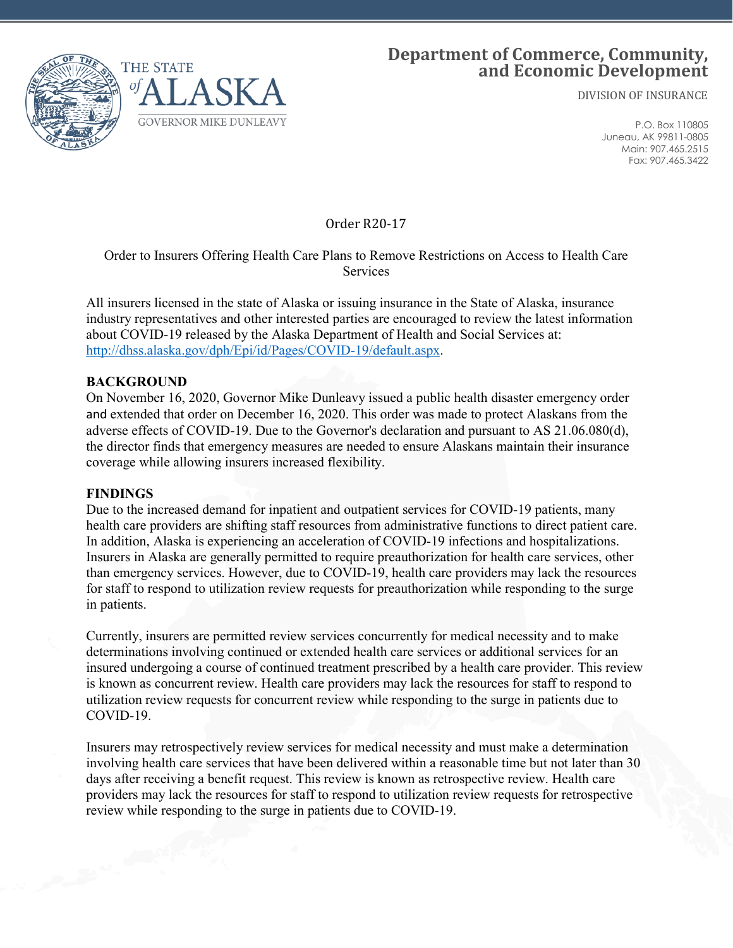

# **Department of Commerce, Community, and Economic Development**

DIVISION OF INSURANCE

P.O. Box 110805 Juneau, AK 99811-0805 Main: 907.465.2515 Fax: 907.465.3422

Order R20-17

# Order to Insurers Offering Health Care Plans to Remove Restrictions on Access to Health Care Services

All insurers licensed in the state of Alaska or issuing insurance in the State of Alaska, insurance industry representatives and other interested parties are encouraged to review the latest information about COVID-19 released by the Alaska Department of Health and Social Services at: [http://dhss.alaska.gov/dph/Epi/id/Pages/COVID-19/default.aspx.](http://dhss.alaska.gov/dph/Epi/id/Pages/COVID-19/default.aspx)

#### **BACKGROUND**

On November 16, 2020, Governor Mike Dunleavy issued a public health disaster emergency order and extended that order on December 16, 2020. This order was made to protect Alaskans from the adverse effects of COVID-19. Due to the Governor's declaration and pursuant to AS 21.06.080(d), the director finds that emergency measures are needed to ensure Alaskans maintain their insurance coverage while allowing insurers increased flexibility.

#### **FINDINGS**

Due to the increased demand for inpatient and outpatient services for COVID-19 patients, many health care providers are shifting staff resources from administrative functions to direct patient care. In addition, Alaska is experiencing an acceleration of COVID-19 infections and hospitalizations. Insurers in Alaska are generally permitted to require preauthorization for health care services, other than emergency services. However, due to COVID-19, health care providers may lack the resources for staff to respond to utilization review requests for preauthorization while responding to the surge in patients.

Currently, insurers are permitted review services concurrently for medical necessity and to make determinations involving continued or extended health care services or additional services for an insured undergoing a course of continued treatment prescribed by a health care provider. This review is known as concurrent review. Health care providers may lack the resources for staff to respond to utilization review requests for concurrent review while responding to the surge in patients due to COVID-19.

Insurers may retrospectively review services for medical necessity and must make a determination involving health care services that have been delivered within a reasonable time but not later than 30 days after receiving a benefit request. This review is known as retrospective review. Health care providers may lack the resources for staff to respond to utilization review requests for retrospective review while responding to the surge in patients due to COVID-19.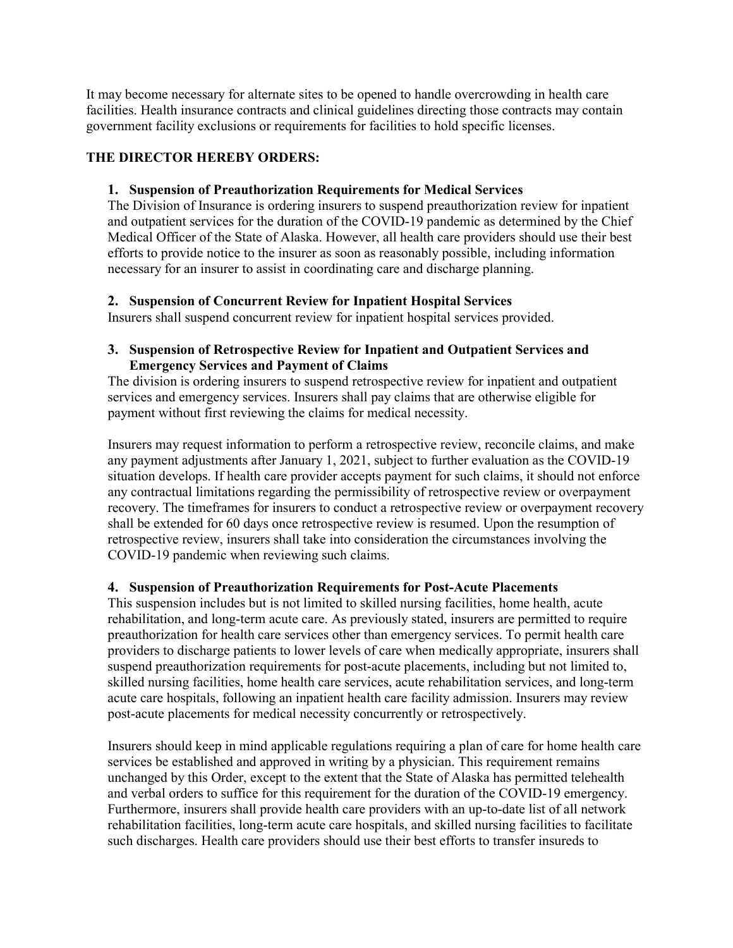It may become necessary for alternate sites to be opened to handle overcrowding in health care facilities. Health insurance contracts and clinical guidelines directing those contracts may contain government facility exclusions or requirements for facilities to hold specific licenses.

# **THE DIRECTOR HEREBY ORDERS:**

#### **1. Suspension of Preauthorization Requirements for Medical Services**

The Division of Insurance is ordering insurers to suspend preauthorization review for inpatient and outpatient services for the duration of the COVID-19 pandemic as determined by the Chief Medical Officer of the State of Alaska. However, all health care providers should use their best efforts to provide notice to the insurer as soon as reasonably possible, including information necessary for an insurer to assist in coordinating care and discharge planning.

## **2. Suspension of Concurrent Review for Inpatient Hospital Services**

Insurers shall suspend concurrent review for inpatient hospital services provided.

#### **3. Suspension of Retrospective Review for Inpatient and Outpatient Services and Emergency Services and Payment of Claims**

The division is ordering insurers to suspend retrospective review for inpatient and outpatient services and emergency services. Insurers shall pay claims that are otherwise eligible for payment without first reviewing the claims for medical necessity.

Insurers may request information to perform a retrospective review, reconcile claims, and make any payment adjustments after January 1, 2021, subject to further evaluation as the COVID-19 situation develops. If health care provider accepts payment for such claims, it should not enforce any contractual limitations regarding the permissibility of retrospective review or overpayment recovery. The timeframes for insurers to conduct a retrospective review or overpayment recovery shall be extended for 60 days once retrospective review is resumed. Upon the resumption of retrospective review, insurers shall take into consideration the circumstances involving the COVID-19 pandemic when reviewing such claims.

## **4. Suspension of Preauthorization Requirements for Post-Acute Placements**

This suspension includes but is not limited to skilled nursing facilities, home health, acute rehabilitation, and long-term acute care. As previously stated, insurers are permitted to require preauthorization for health care services other than emergency services. To permit health care providers to discharge patients to lower levels of care when medically appropriate, insurers shall suspend preauthorization requirements for post-acute placements, including but not limited to, skilled nursing facilities, home health care services, acute rehabilitation services, and long-term acute care hospitals, following an inpatient health care facility admission. Insurers may review post-acute placements for medical necessity concurrently or retrospectively.

Insurers should keep in mind applicable regulations requiring a plan of care for home health care services be established and approved in writing by a physician. This requirement remains unchanged by this Order, except to the extent that the State of Alaska has permitted telehealth and verbal orders to suffice for this requirement for the duration of the COVID-19 emergency. Furthermore, insurers shall provide health care providers with an up-to-date list of all network rehabilitation facilities, long-term acute care hospitals, and skilled nursing facilities to facilitate such discharges. Health care providers should use their best efforts to transfer insureds to